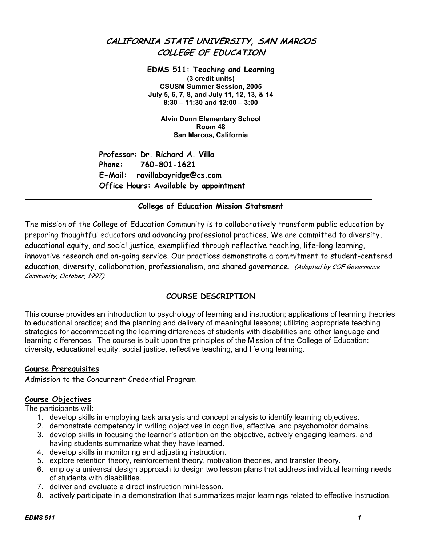# **CALIFORNIA STATE UNIVERSITY, SAN MARCOS COLLEGE OF EDUCATION**

**EDMS 511: Teaching and Learning (3 credit units) CSUSM Summer Session, 2005 July 5, 6, 7, 8, and July 11, 12, 13, & 14 8:30 – 11:30 and 12:00 – 3:00** 

**Alvin Dunn Elementary School Room 48 San Marcos, California** 

**Professor: Dr. Richard A. Villa Phone: 760-801-1621 E-Mail: ravillabayridge@cs.com Office Hours: Available by appointment** 

# **College of Education Mission Statement**

The mission of the College of Education Community is to collaboratively transform public education by preparing thoughtful educators and advancing professional practices. We are committed to diversity, educational equity, and social justice, exemplified through reflective teaching, life-long learning, innovative research and on-going service. Our practices demonstrate a commitment to student-centered education, diversity, collaboration, professionalism, and shared governance. (Adopted by COE Governance Community, October, 1997).

# **COURSE DESCRIPTION**

This course provides an introduction to psychology of learning and instruction; applications of learning theories to educational practice; and the planning and delivery of meaningful lessons; utilizing appropriate teaching strategies for accommodating the learning differences of students with disabilities and other language and learning differences. The course is built upon the principles of the Mission of the College of Education: diversity, educational equity, social justice, reflective teaching, and lifelong learning.

## **Course Prerequisites**

l

Admission to the Concurrent Credential Program

## **Course Objectives**

The participants will:

- 1. develop skills in employing task analysis and concept analysis to identify learning objectives.
- 2. demonstrate competency in writing objectives in cognitive, affective, and psychomotor domains.
- 3. develop skills in focusing the learner's attention on the objective, actively engaging learners, and having students summarize what they have learned.
- 4. develop skills in monitoring and adjusting instruction.
- 5. explore retention theory, reinforcement theory, motivation theories, and transfer theory.
- 6. employ a universal design approach to design two lesson plans that address individual learning needs of students with disabilities.
- 7. deliver and evaluate a direct instruction mini-lesson.
- 8. actively participate in a demonstration that summarizes major learnings related to effective instruction.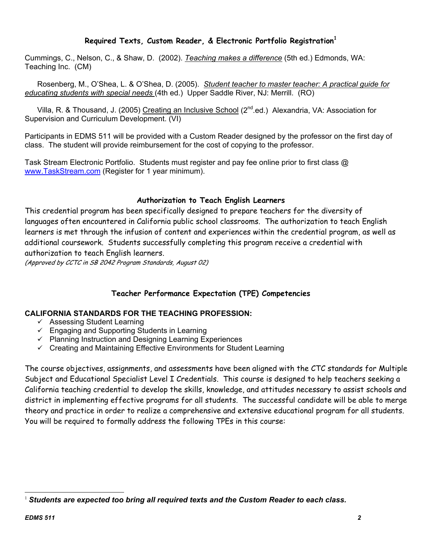# **Required Texts, Custom Reader, & Electronic Portfolio Registration<sup>1</sup>**

Cummings, C., Nelson, C., & Shaw, D. (2002). *Teaching makes a difference* (5th ed.) Edmonds, WA: Teaching Inc. (CM)

 Rosenberg, M., O'Shea, L. & O'Shea, D. (2005). *Student teacher to master teacher: A practical guide for educating students with special needs* (4th ed.) Upper Saddle River, NJ: Merrill. (RO)

Villa, R. & Thousand, J. (2005) Creating an Inclusive School (2<sup>nd</sup> ed.) Alexandria, VA: Association for Supervision and Curriculum Development. (VI)

Participants in EDMS 511 will be provided with a Custom Reader designed by the professor on the first day of class. The student will provide reimbursement for the cost of copying to the professor.

Task Stream Electronic Portfolio. Students must register and pay fee online prior to first class @ www.TaskStream.com (Register for 1 year minimum).

# **Authorization to Teach English Learners**

This credential program has been specifically designed to prepare teachers for the diversity of languages often encountered in California public school classrooms. The authorization to teach English learners is met through the infusion of content and experiences within the credential program, as well as additional coursework. Students successfully completing this program receive a credential with authorization to teach English learners.

(Approved by CCTC in SB 2042 Program Standards, August 02)

## **Teacher Performance Expectation (TPE) Competencies**

## **CALIFORNIA STANDARDS FOR THE TEACHING PROFESSION:**

- $\checkmark$  Assessing Student Learning
- $\checkmark$  Engaging and Supporting Students in Learning
- $\checkmark$  Planning Instruction and Designing Learning Experiences
- $\checkmark$  Creating and Maintaining Effective Environments for Student Learning

The course objectives, assignments, and assessments have been aligned with the CTC standards for Multiple Subject and Educational Specialist Level I Credentials. This course is designed to help teachers seeking a California teaching credential to develop the skills, knowledge, and attitudes necessary to assist schools and district in implementing effective programs for all students. The successful candidate will be able to merge theory and practice in order to realize a comprehensive and extensive educational program for all students. You will be required to formally address the following TPEs in this course:

 $\overline{a}$ <sup>1</sup> *Students are expected too bring all required texts and the Custom Reader to each class.*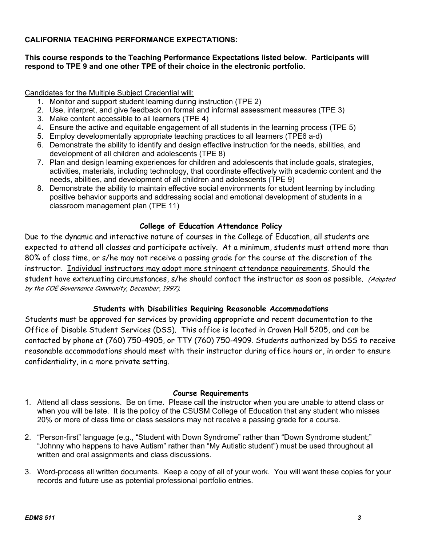# **CALIFORNIA TEACHING PERFORMANCE EXPECTATIONS:**

# **This course responds to the Teaching Performance Expectations listed below. Participants will respond to TPE 9 and one other TPE of their choice in the electronic portfolio.**

Candidates for the Multiple Subject Credential will:

- 1. Monitor and support student learning during instruction (TPE 2)
- 2. Use, interpret, and give feedback on formal and informal assessment measures (TPE 3)
- 3. Make content accessible to all learners (TPE 4)
- 4. Ensure the active and equitable engagement of all students in the learning process (TPE 5)
- 5. Employ developmentally appropriate teaching practices to all learners (TPE6 a-d)
- 6. Demonstrate the ability to identify and design effective instruction for the needs, abilities, and development of all children and adolescents (TPE 8)
- 7. Plan and design learning experiences for children and adolescents that include goals, strategies, activities, materials, including technology, that coordinate effectively with academic content and the needs, abilities, and development of all children and adolescents (TPE 9)
- 8. Demonstrate the ability to maintain effective social environments for student learning by including positive behavior supports and addressing social and emotional development of students in a classroom management plan (TPE 11)

# **College of Education Attendance Policy**

Due to the dynamic and interactive nature of courses in the College of Education, all students are expected to attend all classes and participate actively. At a minimum, students must attend more than 80% of class time, or s/he may not receive a passing grade for the course at the discretion of the instructor. Individual instructors may adopt more stringent attendance requirements. Should the student have extenuating circumstances, s/he should contact the instructor as soon as possible. (Adopted by the COE Governance Community, December, 1997).

# **Students with Disabilities Requiring Reasonable Accommodations**

Students must be approved for services by providing appropriate and recent documentation to the Office of Disable Student Services (DSS). This office is located in Craven Hall 5205, and can be contacted by phone at (760) 750-4905, or TTY (760) 750-4909. Students authorized by DSS to receive reasonable accommodations should meet with their instructor during office hours or, in order to ensure confidentiality, in a more private setting.

## **Course Requirements**

- 1. Attend all class sessions. Be on time. Please call the instructor when you are unable to attend class or when you will be late. It is the policy of the CSUSM College of Education that any student who misses 20% or more of class time or class sessions may not receive a passing grade for a course.
- 2. "Person-first" language (e.g., "Student with Down Syndrome" rather than "Down Syndrome student;" "Johnny who happens to have Autism" rather than "My Autistic student") must be used throughout all written and oral assignments and class discussions.
- 3. Word-process all written documents. Keep a copy of all of your work. You will want these copies for your records and future use as potential professional portfolio entries.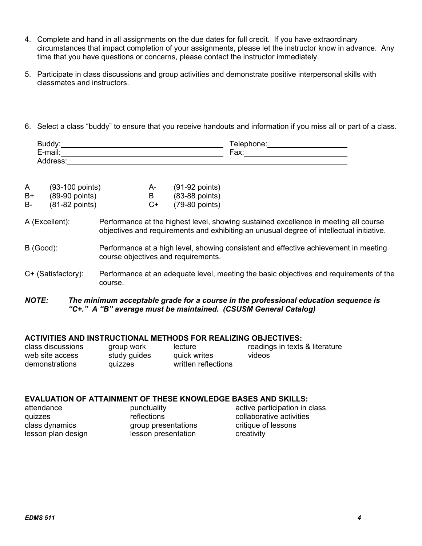- 4. Complete and hand in all assignments on the due dates for full credit. If you have extraordinary circumstances that impact completion of your assignments, please let the instructor know in advance. Any time that you have questions or concerns, please contact the instructor immediately.
- 5. Participate in class discussions and group activities and demonstrate positive interpersonal skills with classmates and instructors.
- 6. Select a class "buddy" to ensure that you receive handouts and information if you miss all or part of a class.

| $\sim$<br>-uuu .                                | $\sim$ $\sim$<br>e.<br>ele. |
|-------------------------------------------------|-----------------------------|
| $\cdot$ .<br>_<br>$\sim$<br>---<br>111ail.<br>— | -<br>∟ov∴<br>a^.            |
|                                                 |                             |

| A  | $(93-100$ points) | А- | $(91-92$ points)         |
|----|-------------------|----|--------------------------|
| B+ | $(89-90$ points)  |    | $(83-88 \text{ points})$ |
|    |                   |    |                          |

B- (81-82 points) C+ (79-80 points)

## A (Excellent): Performance at the highest level, showing sustained excellence in meeting all course objectives and requirements and exhibiting an unusual degree of intellectual initiative.

- B (Good): Performance at a high level, showing consistent and effective achievement in meeting course objectives and requirements.
- C+ (Satisfactory): Performance at an adequate level, meeting the basic objectives and requirements of the course.

#### *NOTE: The minimum acceptable grade for a course in the professional education sequence is "C+." A "B" average must be maintained. (CSUSM General Catalog)*

## **ACTIVITIES AND INSTRUCTIONAL METHODS FOR REALIZING OBJECTIVES:**

| class discussions | group work   | lecture             | readings in texts & literature |
|-------------------|--------------|---------------------|--------------------------------|
| web site access   | study guides | quick writes        | videos                         |
| demonstrations    | quizzes      | written reflections |                                |

#### **EVALUATION OF ATTAINMENT OF THESE KNOWLEDGE BASES AND SKILLS:**

| attendance         | punctuality         | active participation in class |
|--------------------|---------------------|-------------------------------|
| quizzes            | reflections         | collaborative activities      |
| class dynamics     | group presentations | critique of lessons           |
| lesson plan design | lesson presentation | creativity                    |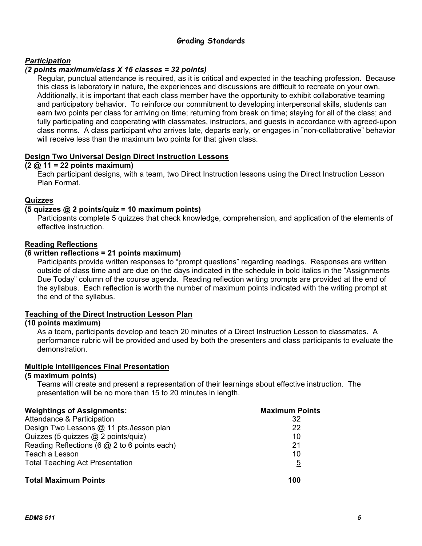# **Grading Standards**

## *Participation*

#### *(2 points maximum/class X 16 classes = 32 points)*

Regular, punctual attendance is required, as it is critical and expected in the teaching profession. Because this class is laboratory in nature, the experiences and discussions are difficult to recreate on your own. Additionally, it is important that each class member have the opportunity to exhibit collaborative teaming and participatory behavior. To reinforce our commitment to developing interpersonal skills, students can earn two points per class for arriving on time; returning from break on time; staying for all of the class; and fully participating and cooperating with classmates, instructors, and guests in accordance with agreed-upon class norms. A class participant who arrives late, departs early, or engages in "non-collaborative" behavior will receive less than the maximum two points for that given class.

#### **Design Two Universal Design Direct Instruction Lessons**

#### **(2 @ 11 = 22 points maximum)**

Each participant designs, with a team, two Direct Instruction lessons using the Direct Instruction Lesson Plan Format.

## **Quizzes**

#### **(5 quizzes @ 2 points/quiz = 10 maximum points)**

Participants complete 5 quizzes that check knowledge, comprehension, and application of the elements of effective instruction.

#### **Reading Reflections**

#### **(6 written reflections = 21 points maximum)**

Participants provide written responses to "prompt questions" regarding readings. Responses are written outside of class time and are due on the days indicated in the schedule in bold italics in the "Assignments Due Today" column of the course agenda. Reading reflection writing prompts are provided at the end of the syllabus. Each reflection is worth the number of maximum points indicated with the writing prompt at the end of the syllabus.

#### **Teaching of the Direct Instruction Lesson Plan**

#### **(10 points maximum)**

As a team, participants develop and teach 20 minutes of a Direct Instruction Lesson to classmates. A performance rubric will be provided and used by both the presenters and class participants to evaluate the demonstration.

#### **Multiple Intelligences Final Presentation**

#### **(5 maximum points)**

Teams will create and present a representation of their learnings about effective instruction. The presentation will be no more than 15 to 20 minutes in length.

| <b>Weightings of Assignments:</b>              | <b>Maximum Points</b> |
|------------------------------------------------|-----------------------|
| Attendance & Participation                     | 32                    |
| Design Two Lessons @ 11 pts./lesson plan       | 22                    |
| Quizzes (5 quizzes @ 2 points/quiz)            | 10                    |
| Reading Reflections (6 $@$ 2 to 6 points each) | 21                    |
| Teach a Lesson                                 | 10                    |
| <b>Total Teaching Act Presentation</b>         | $\overline{5}$        |
| <b>Total Maximum Points</b>                    | 100                   |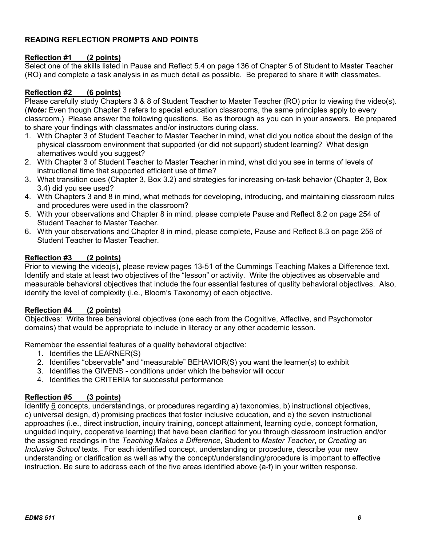# **READING REFLECTION PROMPTS AND POINTS**

## **Reflection #1 (2 points)**

Select one of the skills listed in Pause and Reflect 5.4 on page 136 of Chapter 5 of Student to Master Teacher (RO) and complete a task analysis in as much detail as possible. Be prepared to share it with classmates.

# **Reflection #2 (6 points)**

Please carefully study Chapters 3 & 8 of Student Teacher to Master Teacher (RO) prior to viewing the video(s). (*Note:* Even though Chapter 3 refers to special education classrooms, the same principles apply to every classroom.) Please answer the following questions. Be as thorough as you can in your answers. Be prepared to share your findings with classmates and/or instructors during class.

- 1. With Chapter 3 of Student Teacher to Master Teacher in mind, what did you notice about the design of the physical classroom environment that supported (or did not support) student learning? What design alternatives would you suggest?
- 2. With Chapter 3 of Student Teacher to Master Teacher in mind, what did you see in terms of levels of instructional time that supported efficient use of time?
- 3. What transition cues (Chapter 3, Box 3.2) and strategies for increasing on-task behavior (Chapter 3, Box 3.4) did you see used?
- 4. With Chapters 3 and 8 in mind, what methods for developing, introducing, and maintaining classroom rules and procedures were used in the classroom?
- 5. With your observations and Chapter 8 in mind, please complete Pause and Reflect 8.2 on page 254 of Student Teacher to Master Teacher.
- 6. With your observations and Chapter 8 in mind, please complete, Pause and Reflect 8.3 on page 256 of Student Teacher to Master Teacher.

## **Reflection #3 (2 points)**

Prior to viewing the video(s), please review pages 13-51 of the Cummings Teaching Makes a Difference text. Identify and state at least two objectives of the "lesson" or activity. Write the objectives as observable and measurable behavioral objectives that include the four essential features of quality behavioral objectives. Also, identify the level of complexity (i.e., Bloom's Taxonomy) of each objective.

## **Reflection #4 (2 points)**

Objectives: Write three behavioral objectives (one each from the Cognitive, Affective, and Psychomotor domains) that would be appropriate to include in literacy or any other academic lesson.

Remember the essential features of a quality behavioral objective:

- 1. Identifies the LEARNER(S)
- 2. Identifies "observable" and "measurable" BEHAVIOR(S) you want the learner(s) to exhibit
- 3. Identifies the GIVENS conditions under which the behavior will occur
- 4. Identifies the CRITERIA for successful performance

## **Reflection #5 (3 points)**

Identify 6 concepts, understandings, or procedures regarding a) taxonomies, b) instructional objectives, c) universal design, d) promising practices that foster inclusive education, and e) the seven instructional approaches (i.e., direct instruction, inquiry training, concept attainment, learning cycle, concept formation, unguided inquiry, cooperative learning) that have been clarified for you through classroom instruction and/or the assigned readings in the *Teaching Makes a Difference*, Student to *Master Teacher*, or *Creating an Inclusive School* texts. For each identified concept, understanding or procedure, describe your new understanding or clarification as well as why the concept/understanding/procedure is important to effective instruction. Be sure to address each of the five areas identified above (a-f) in your written response.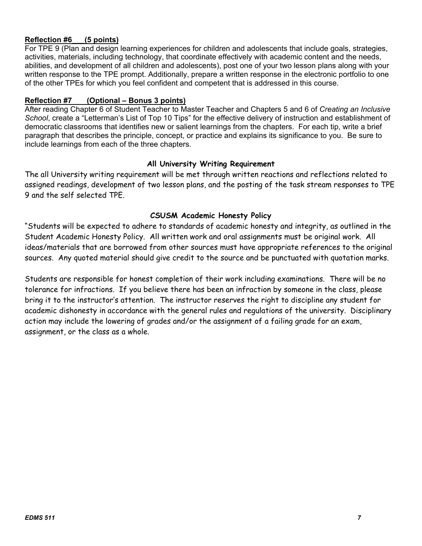## **Reflection #6\_\_\_(5 points)**

For TPE 9 (Plan and design learning experiences for children and adolescents that include goals, strategies, activities, materials, including technology, that coordinate effectively with academic content and the needs, abilities, and development of all children and adolescents), post one of your two lesson plans along with your written response to the TPE prompt. Additionally, prepare a written response in the electronic portfolio to one of the other TPEs for which you feel confident and competent that is addressed in this course.

## **Reflection #7 (Optional – Bonus 3 points)**

After reading Chapter 6 of Student Teacher to Master Teacher and Chapters 5 and 6 of *Creating an Inclusive School*, create a "Letterman's List of Top 10 Tips" for the effective delivery of instruction and establishment of democratic classrooms that identifies new or salient learnings from the chapters. For each tip, write a brief paragraph that describes the principle, concept, or practice and explains its significance to you. Be sure to include learnings from each of the three chapters.

## **All University Writing Requirement**

The all University writing requirement will be met through written reactions and reflections related to assigned readings, development of two lesson plans, and the posting of the task stream responses to TPE 9 and the self selected TPE.

# **CSUSM Academic Honesty Policy**

"Students will be expected to adhere to standards of academic honesty and integrity, as outlined in the Student Academic Honesty Policy. All written work and oral assignments must be original work. All ideas/materials that are borrowed from other sources must have appropriate references to the original sources. Any quoted material should give credit to the source and be punctuated with quotation marks.

Students are responsible for honest completion of their work including examinations. There will be no tolerance for infractions. If you believe there has been an infraction by someone in the class, please bring it to the instructor's attention. The instructor reserves the right to discipline any student for academic dishonesty in accordance with the general rules and regulations of the university. Disciplinary action may include the lowering of grades and/or the assignment of a failing grade for an exam, assignment, or the class as a whole.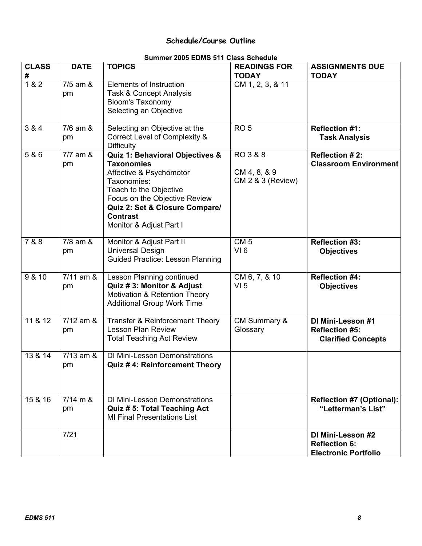# **Schedule/Course Outline**

|  |  | Summer 2005 EDMS 511 Class Schedule |  |
|--|--|-------------------------------------|--|
|--|--|-------------------------------------|--|

| <b>CLASS</b><br># | <b>DATE</b>                 | <b>TOPICS</b>                                                                                                                                                                                                                             | <b>READINGS FOR</b><br><b>TODAY</b>           | <b>ASSIGNMENTS DUE</b><br><b>TODAY</b>                                   |
|-------------------|-----------------------------|-------------------------------------------------------------------------------------------------------------------------------------------------------------------------------------------------------------------------------------------|-----------------------------------------------|--------------------------------------------------------------------------|
| 182               | $\overline{7/5}$ am &<br>pm | <b>Elements of Instruction</b><br>Task & Concept Analysis<br><b>Bloom's Taxonomy</b><br>Selecting an Objective                                                                                                                            | CM 1, 2, 3, & 11                              |                                                                          |
| 3 & 4             | $7/6$ am $\&$<br>pm         | Selecting an Objective at the<br>Correct Level of Complexity &<br><b>Difficulty</b>                                                                                                                                                       | RO <sub>5</sub>                               | <b>Reflection #1:</b><br><b>Task Analysis</b>                            |
| 5 & 6             | $7/7$ am $\&$<br>pm         | Quiz 1: Behavioral Objectives &<br><b>Taxonomies</b><br>Affective & Psychomotor<br>Taxonomies:<br>Teach to the Objective<br>Focus on the Objective Review<br>Quiz 2: Set & Closure Compare/<br><b>Contrast</b><br>Monitor & Adjust Part I | RO 3 & 8<br>CM 4, 8, & 9<br>CM 2 & 3 (Review) | Reflection #2:<br><b>Classroom Environment</b>                           |
| 7 & 8             | 7/8 am &<br>pm              | Monitor & Adjust Part II<br><b>Universal Design</b><br><b>Guided Practice: Lesson Planning</b>                                                                                                                                            | CM <sub>5</sub><br>VI <sub>6</sub>            | <b>Reflection #3:</b><br><b>Objectives</b>                               |
| 9 & 10            | $7/11$ am $\&$<br>pm        | Lesson Planning continued<br>Quiz # 3: Monitor & Adjust<br>Motivation & Retention Theory<br><b>Additional Group Work Time</b>                                                                                                             | CM 6, 7, & 10<br>VI <sub>5</sub>              | <b>Reflection #4:</b><br><b>Objectives</b>                               |
| 11 & 12           | $7/12$ am $\&$<br>pm        | Transfer & Reinforcement Theory<br><b>Lesson Plan Review</b><br><b>Total Teaching Act Review</b>                                                                                                                                          | CM Summary &<br>Glossary                      | DI Mini-Lesson #1<br><b>Reflection #5:</b><br><b>Clarified Concepts</b>  |
| 13 & 14           | $7/13$ am $\&$<br>pm        | <b>DI Mini-Lesson Demonstrations</b><br>Quiz #4: Reinforcement Theory                                                                                                                                                                     |                                               |                                                                          |
| 15 & 16           | $7/14 \text{ m } 8$<br>pm   | <b>DI Mini-Lesson Demonstrations</b><br>Quiz # 5: Total Teaching Act<br><b>MI Final Presentations List</b>                                                                                                                                |                                               | <b>Reflection #7 (Optional):</b><br>"Letterman's List"                   |
|                   | 7/21                        |                                                                                                                                                                                                                                           |                                               | DI Mini-Lesson #2<br><b>Reflection 6:</b><br><b>Electronic Portfolio</b> |